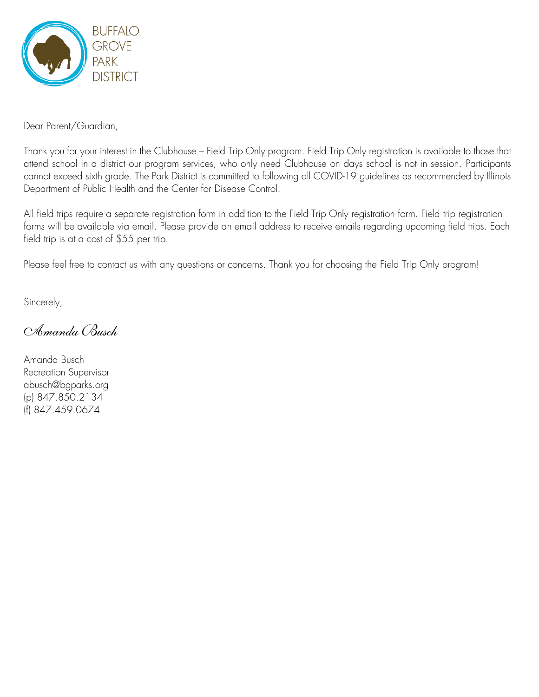

Dear Parent/Guardian,

Thank you for your interest in the Clubhouse – Field Trip Only program. Field Trip Only registration is available to those that attend school in a district our program services, who only need Clubhouse on days school is not in session. Participants cannot exceed sixth grade. The Park District is committed to following all COVID-19 guidelines as recommended by Illinois Department of Public Health and the Center for Disease Control.

All field trips require a separate registration form in addition to the Field Trip Only registration form. Field trip registration forms will be available via email. Please provide an email address to receive emails regarding upcoming field trips. Each field trip is at a cost of \$55 per trip.

Please feel free to contact us with any questions or concerns. Thank you for choosing the Field Trip Only program!

Sincerely,

*Amanda Busch*

Amanda Busch Recreation Supervisor [abusch@bgparks.org](mailto:abusch@bgparks.org) (p) 847.850.2134 (f) 847.459.0674